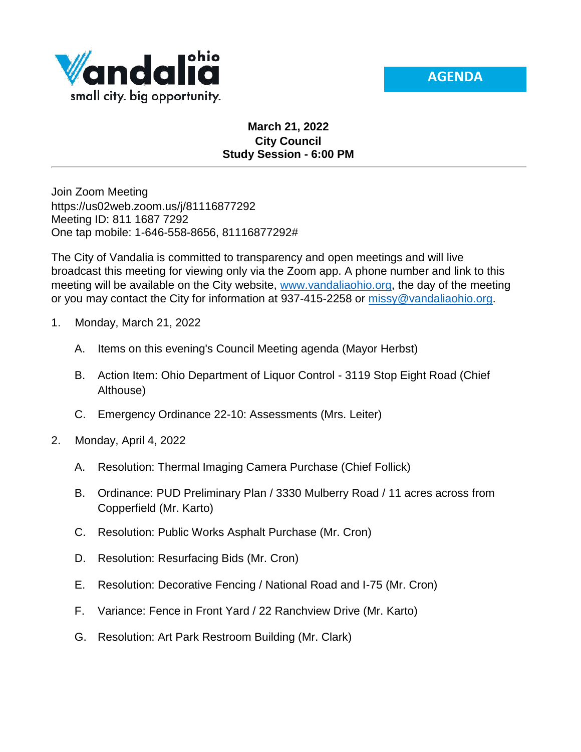



## **March 21, 2022 City Council Study Session - 6:00 PM**

Join Zoom Meeting https://us02web.zoom.us/j/81116877292 Meeting ID: 811 1687 7292 One tap mobile: 1-646-558-8656, 81116877292#

The City of Vandalia is committed to transparency and open meetings and will live broadcast this meeting for viewing only via the Zoom app. A phone number and link to this meeting will be available on the City website, [www.vandaliaohio.org,](http://www.vandaliaohio.org/) the day of the meeting or you may contact the City for information at 937-415-2258 or [missy@vandaliaohio.org.](mailto:missy@vandaliaohio.org)

- 1. Monday, March 21, 2022
	- A. Items on this evening's Council Meeting agenda (Mayor Herbst)
	- B. Action Item: Ohio Department of Liquor Control 3119 Stop Eight Road (Chief Althouse)
	- C. Emergency Ordinance 22-10: Assessments (Mrs. Leiter)
- 2. Monday, April 4, 2022
	- A. Resolution: Thermal Imaging Camera Purchase (Chief Follick)
	- B. Ordinance: PUD Preliminary Plan / 3330 Mulberry Road / 11 acres across from Copperfield (Mr. Karto)
	- C. Resolution: Public Works Asphalt Purchase (Mr. Cron)
	- D. Resolution: Resurfacing Bids (Mr. Cron)
	- E. Resolution: Decorative Fencing / National Road and I-75 (Mr. Cron)
	- F. Variance: Fence in Front Yard / 22 Ranchview Drive (Mr. Karto)
	- G. Resolution: Art Park Restroom Building (Mr. Clark)